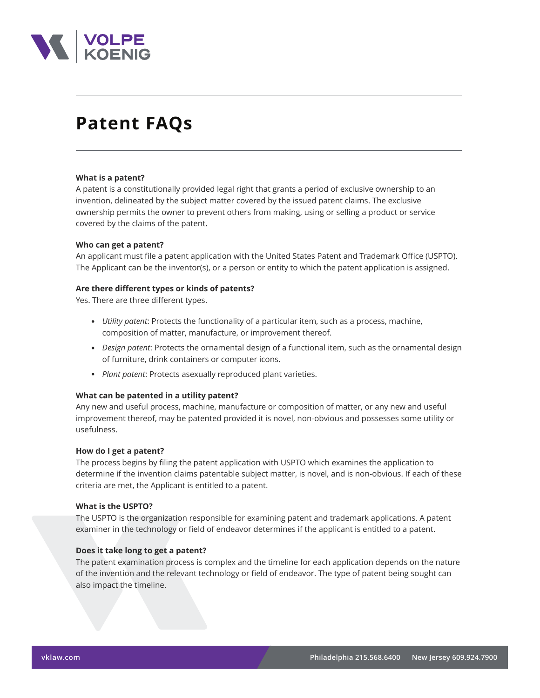

# **Patent FAQs**

#### **What is a patent?**

A patent is a constitutionally provided legal right that grants a period of exclusive ownership to an invention, delineated by the subject matter covered by the issued patent claims. The exclusive ownership permits the owner to prevent others from making, using or selling a product or service covered by the claims of the patent.

#### **Who can get a patent?**

An applicant must file a patent application with the United States Patent and Trademark Office (USPTO). The Applicant can be the inventor(s), or a person or entity to which the patent application is assigned.

#### **Are there different types or kinds of patents?**

Yes. There are three different types.

- *Utility patent*: Protects the functionality of a particular item, such as a process, machine, composition of matter, manufacture, or improvement thereof.
- *Design patent*: Protects the ornamental design of a functional item, such as the ornamental design of furniture, drink containers or computer icons.
- *Plant patent*: Protects asexually reproduced plant varieties.

#### **What can be patented in a utility patent?**

Any new and useful process, machine, manufacture or composition of matter, or any new and useful improvement thereof, may be patented provided it is novel, non-obvious and possesses some utility or usefulness.

#### **How do I get a patent?**

The process begins by filing the patent application with USPTO which examines the application to determine if the invention claims patentable subject matter, is novel, and is non-obvious. If each of these criteria are met, the Applicant is entitled to a patent.

#### **What is the USPTO?**

The USPTO is the organization responsible for examining patent and trademark applications. A patent examiner in the technology or field of endeavor determines if the applicant is entitled to a patent.

#### **Does it take long to get a patent?**

The patent examination process is complex and the timeline for each application depends on the nature of the invention and the relevant technology or field of endeavor. The type of patent being sought can also impact the timeline.